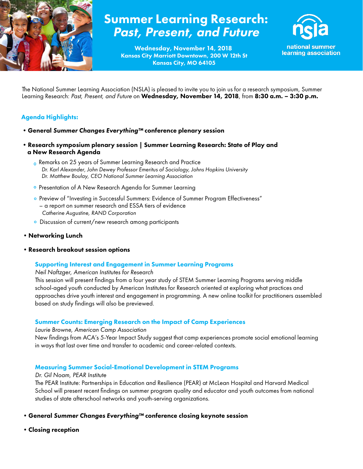

# Summer Learning Research: Past, Present, and Future

Kansas City Marriott Downtown, 200 W 12th St Kansas City, MO 64105 Wednesday, November 14, 2018



national summer learning association

The National Summer Learning Association (NSLA) is pleased to invite you to join us for a research symposium, Summer Learning Research: Past, Present, and Future on Wednesday, November 14, 2018, from 8:30 a.m. - 3:30 p.m.

## Agenda Highlights:

- •General *Summer Changes Everything™* conference plenary session
- •Research symposium plenary session | Summer Learning Research: State of Play and a New Research Agenda
	- Remarks on 25 years of Summer Learning Research and Practice  *Dr. Karl Alexander, John Dewey Professor Emeritus of Sociology, Johns Hopkins University Dr. Matthew Boulay, CEO National Summer Learning Association*
	- **Presentation of A New Research Agenda for Summer Learning**
	- o Preview of "Investing in Successful Summers: Evidence of Summer Program Effectiveness" – a report on summer research and ESSA tiers of evidence  *Catherine Augustine, RAND Corporation*
	- o Discussion of current/new research among participants
- •Networking Lunch
- •Research breakout session options

#### Supporting Interest and Engagement in Summer Learning Programs

*Neil Naftzger, American Institutes for Research*

This session will present findings from a four year study of STEM Summer Learning Programs serving middle school-aged youth conducted by American Institutes for Research oriented at exploring what practices and approaches drive youth interest and engagement in programming. A new online toolkit for practitioners assembled based on study findings will also be previewed.

#### Summer Counts: Emerging Research on the Impact of Camp Experiences

*Laurie Browne, American Camp Association*

New findings from ACA's 5-Year Impact Study suggest that camp experiences promote social emotional learning in ways that last over time and transfer to academic and career-related contexts.

#### Measuring Summer Social-Emotional Development in STEM Programs

*Dr. Gil Noam, PEAR Institute*

The PEAR Institute: Partnerships in Education and Resilience (PEAR) at McLean Hospital and Harvard Medical School will present recent findings on summer program quality and educator and youth outcomes from national studies of state afterschool networks and youth-serving organizations.

•General *Summer Changes Everything™* conference closing keynote session

•Closing reception